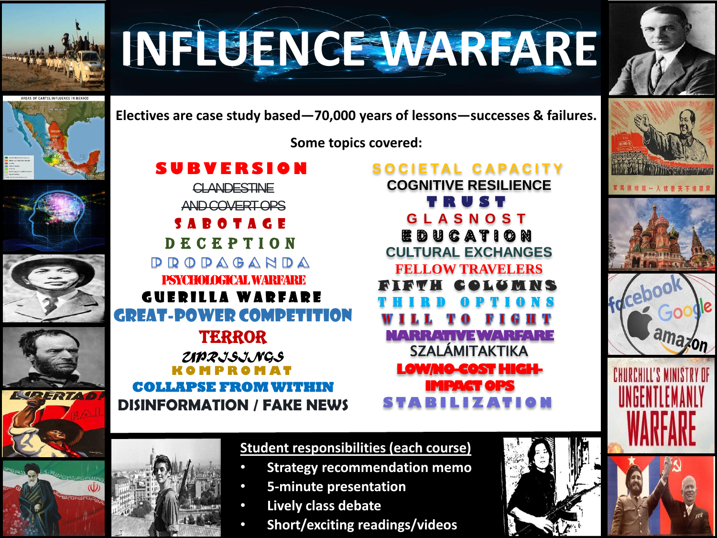

## **INFLUENCE WARFARE**









 $\overline{w}$ 



**Some topics covered:**

**S O C I E TA L C A P A C I T Y COGNITIVE RESILIENCE T R U S T**

**CULTURAL EXCHANGES FELLOW TRAVELERS** FIFTH COLUMNS T H I R D O P T I O N S

W

**NARRATIVE WARFARE** SZALÁMITAKTIKA **LOW/NO-COST HIGH-IMPACT OPS**

**S TA B I L I Z AT I O N**

**S N O S T** 

CATION

**S U B V E R S I O N CLANDESTINE** AND COVERT OPS S A B O T A G E D E C E P T I O N  $P$  R O D A G A N D A PSYCHOLOGICAL WARFARE GUERILLA WARFARE Great-Power competition

## TERROR *UPRISINGS* **K O M P R O M A T COLLAPSE FROM WITHIN DISINFORMATION / FAKE NEWS**



**Student responsibilities (each course)**

- **Strategy recommendation memo**
- **5-minute presentation**
- **Lively class debate**
- **Short/exciting readings/videos**